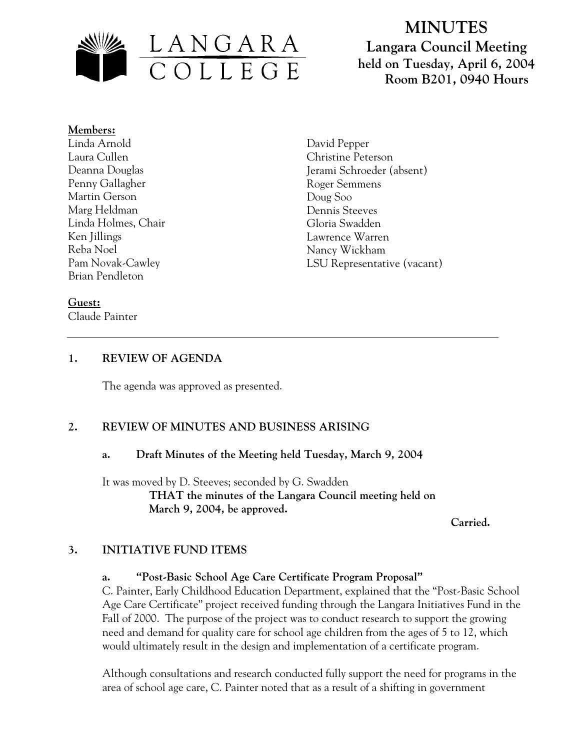

# **MINUTES Langara Council Meeting held on Tuesday, April 6, 2004 Room B201, 0940 Hours**

#### **Members:** Linda Arnold Laura Cullen Deanna Douglas Penny Gallagher Martin Gerson Marg Heldman Linda Holmes, Chair Ken Jillings Reba Noel Pam Novak-Cawley Brian Pendleton

David Pepper Christine Peterson Jerami Schroeder (absent) Roger Semmens Doug Soo Dennis Steeves Gloria Swadden Lawrence Warren Nancy Wickham LSU Representative (vacant)

## **Guest:**

Claude Painter

# **1. REVIEW OF AGENDA**

The agenda was approved as presented.

# **2. REVIEW OF MINUTES AND BUSINESS ARISING**

## **a. Draft Minutes of the Meeting held Tuesday, March 9, 2004**

It was moved by D. Steeves; seconded by G. Swadden **THAT the minutes of the Langara Council meeting held on March 9, 2004, be approved.** 

 **Carried.** 

## **3. INITIATIVE FUND ITEMS**

## **a. "Post-Basic School Age Care Certificate Program Proposal"**

C. Painter, Early Childhood Education Department, explained that the "Post-Basic School Age Care Certificate" project received funding through the Langara Initiatives Fund in the Fall of 2000. The purpose of the project was to conduct research to support the growing need and demand for quality care for school age children from the ages of 5 to 12, which would ultimately result in the design and implementation of a certificate program.

Although consultations and research conducted fully support the need for programs in the area of school age care, C. Painter noted that as a result of a shifting in government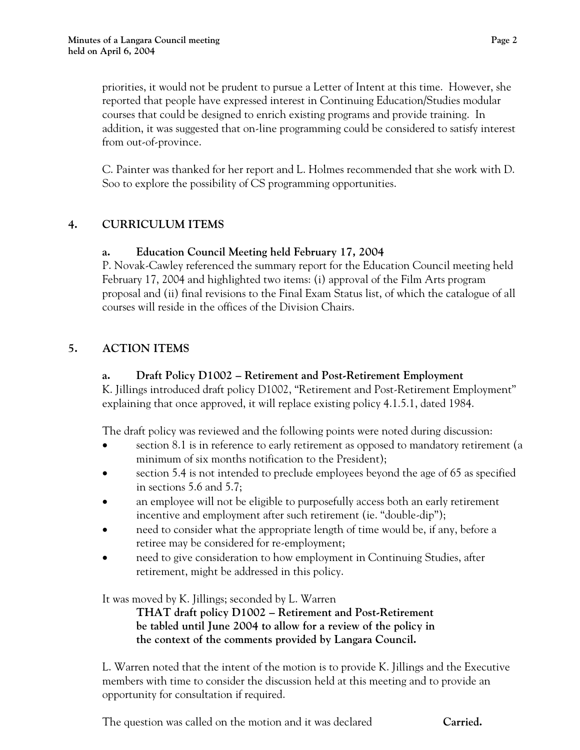priorities, it would not be prudent to pursue a Letter of Intent at this time. However, she reported that people have expressed interest in Continuing Education/Studies modular courses that could be designed to enrich existing programs and provide training. In addition, it was suggested that on-line programming could be considered to satisfy interest from out-of-province.

C. Painter was thanked for her report and L. Holmes recommended that she work with D. Soo to explore the possibility of CS programming opportunities.

## **4. CURRICULUM ITEMS**

#### **a. Education Council Meeting held February 17, 2004**

P. Novak-Cawley referenced the summary report for the Education Council meeting held February 17, 2004 and highlighted two items: (i) approval of the Film Arts program proposal and (ii) final revisions to the Final Exam Status list, of which the catalogue of all courses will reside in the offices of the Division Chairs.

#### **5. ACTION ITEMS**

#### **a. Draft Policy D1002 – Retirement and Post-Retirement Employment**

K. Jillings introduced draft policy D1002, "Retirement and Post-Retirement Employment" explaining that once approved, it will replace existing policy 4.1.5.1, dated 1984.

The draft policy was reviewed and the following points were noted during discussion:

- section 8.1 is in reference to early retirement as opposed to mandatory retirement (a minimum of six months notification to the President);
- section 5.4 is not intended to preclude employees beyond the age of 65 as specified in sections 5.6 and 5.7;
- an employee will not be eligible to purposefully access both an early retirement incentive and employment after such retirement (ie. "double-dip");
- need to consider what the appropriate length of time would be, if any, before a retiree may be considered for re-employment;
- need to give consideration to how employment in Continuing Studies, after retirement, might be addressed in this policy.

It was moved by K. Jillings; seconded by L. Warren

**THAT draft policy D1002 – Retirement and Post-Retirement be tabled until June 2004 to allow for a review of the policy in the context of the comments provided by Langara Council.** 

L. Warren noted that the intent of the motion is to provide K. Jillings and the Executive members with time to consider the discussion held at this meeting and to provide an opportunity for consultation if required.

The question was called on the motion and it was declared **Carried.**